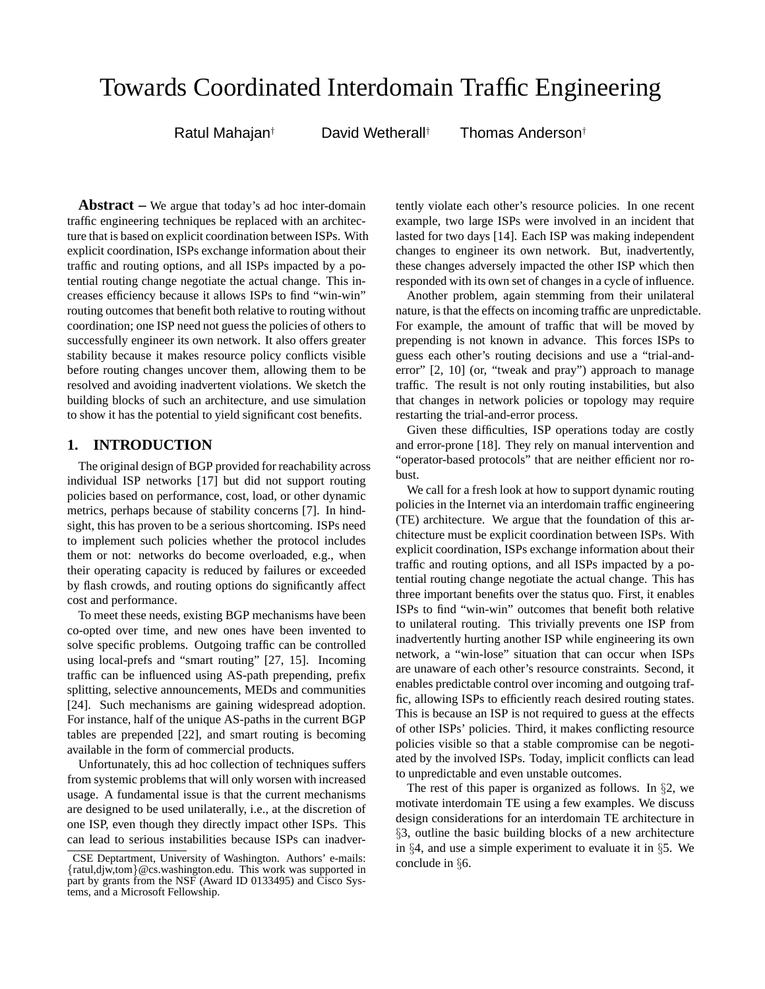# Towards Coordinated Interdomain Traffic Engineering

Ratul Mahajan† David Wetherall† Thomas Anderson†

**Abstract –** We argue that today's ad hoc inter-domain traffic engineering techniques be replaced with an architecture that is based on explicit coordination between ISPs. With explicit coordination, ISPs exchange information about their traffic and routing options, and all ISPs impacted by a potential routing change negotiate the actual change. This increases efficiency because it allows ISPs to find "win-win" routing outcomes that benefit both relative to routing without coordination; one ISP need not guess the policies of others to successfully engineer its own network. It also offers greater stability because it makes resource policy conflicts visible before routing changes uncover them, allowing them to be resolved and avoiding inadvertent violations. We sketch the building blocks of such an architecture, and use simulation to show it has the potential to yield significant cost benefits.

# **1. INTRODUCTION**

The original design of BGP provided for reachability across individual ISP networks [17] but did not support routing policies based on performance, cost, load, or other dynamic metrics, perhaps because of stability concerns [7]. In hindsight, this has proven to be a serious shortcoming. ISPs need to implement such policies whether the protocol includes them or not: networks do become overloaded, e.g., when their operating capacity is reduced by failures or exceeded by flash crowds, and routing options do significantly affect cost and performance.

To meet these needs, existing BGP mechanisms have been co-opted over time, and new ones have been invented to solve specific problems. Outgoing traffic can be controlled using local-prefs and "smart routing" [27, 15]. Incoming traffic can be influenced using AS-path prepending, prefix splitting, selective announcements, MEDs and communities [24]. Such mechanisms are gaining widespread adoption. For instance, half of the unique AS-paths in the current BGP tables are prepended [22], and smart routing is becoming available in the form of commercial products.

Unfortunately, this ad hoc collection of techniques suffers from systemic problems that will only worsen with increased usage. A fundamental issue is that the current mechanisms are designed to be used unilaterally, i.e., at the discretion of one ISP, even though they directly impact other ISPs. This can lead to serious instabilities because ISPs can inadvertently violate each other's resource policies. In one recent example, two large ISPs were involved in an incident that lasted for two days [14]. Each ISP was making independent changes to engineer its own network. But, inadvertently, these changes adversely impacted the other ISP which then responded with its own set of changes in a cycle of influence.

Another problem, again stemming from their unilateral nature, is that the effects on incoming traffic are unpredictable. For example, the amount of traffic that will be moved by prepending is not known in advance. This forces ISPs to guess each other's routing decisions and use a "trial-anderror" [2, 10] (or, "tweak and pray") approach to manage traffic. The result is not only routing instabilities, but also that changes in network policies or topology may require restarting the trial-and-error process.

Given these difficulties, ISP operations today are costly and error-prone [18]. They rely on manual intervention and "operator-based protocols" that are neither efficient nor robust.

We call for a fresh look at how to support dynamic routing policies in the Internet via an interdomain traffic engineering (TE) architecture. We argue that the foundation of this architecture must be explicit coordination between ISPs. With explicit coordination, ISPs exchange information about their traffic and routing options, and all ISPs impacted by a potential routing change negotiate the actual change. This has three important benefits over the status quo. First, it enables ISPs to find "win-win" outcomes that benefit both relative to unilateral routing. This trivially prevents one ISP from inadvertently hurting another ISP while engineering its own network, a "win-lose" situation that can occur when ISPs are unaware of each other's resource constraints. Second, it enables predictable control over incoming and outgoing traffic, allowing ISPs to efficiently reach desired routing states. This is because an ISP is not required to guess at the effects of other ISPs' policies. Third, it makes conflicting resource policies visible so that a stable compromise can be negotiated by the involved ISPs. Today, implicit conflicts can lead to unpredictable and even unstable outcomes.

The rest of this paper is organized as follows. In §2, we motivate interdomain TE using a few examples. We discuss design considerations for an interdomain TE architecture in §3, outline the basic building blocks of a new architecture in §4, and use a simple experiment to evaluate it in §5. We conclude in §6.

CSE Deptartment, University of Washington. Authors' e-mails: {ratul,djw,tom}@cs.washington.edu. This work was supported in part by grants from the NSF (Award ID 0133495) and Cisco Systems, and a Microsoft Fellowship.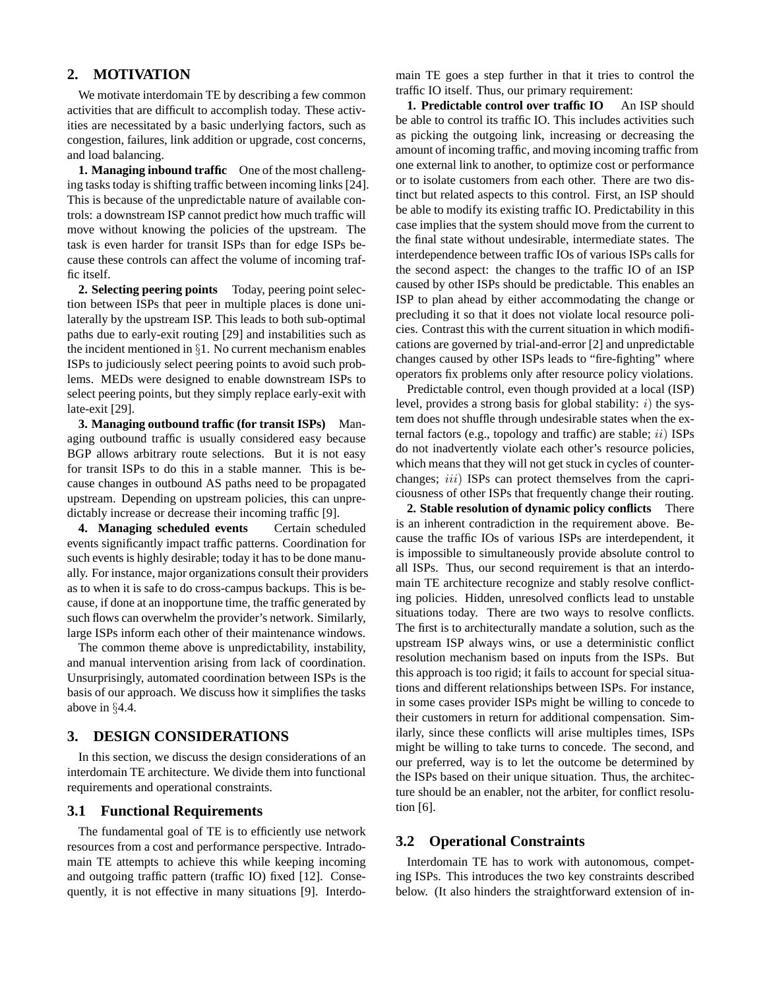# **2. MOTIVATION**

We motivate interdomain TE by describing a few common activities that are difficult to accomplish today. These activities are necessitated by a basic underlying factors, such as congestion, failures, link addition or upgrade, cost concerns, and load balancing.

**1. Managing inbound traffic** One of the most challenging tasks today is shifting traffic between incoming links [24]. This is because of the unpredictable nature of available controls: a downstream ISP cannot predict how much traffic will move without knowing the policies of the upstream. The task is even harder for transit ISPs than for edge ISPs because these controls can affect the volume of incoming traffic itself.

**2. Selecting peering points** Today, peering point selection between ISPs that peer in multiple places is done unilaterally by the upstream ISP. This leads to both sub-optimal paths due to early-exit routing [29] and instabilities such as the incident mentioned in §1. No current mechanism enables ISPs to judiciously select peering points to avoid such problems. MEDs were designed to enable downstream ISPs to select peering points, but they simply replace early-exit with late-exit [29].

**3. Managing outbound traffic (for transit ISPs)** Managing outbound traffic is usually considered easy because BGP allows arbitrary route selections. But it is not easy for transit ISPs to do this in a stable manner. This is because changes in outbound AS paths need to be propagated upstream. Depending on upstream policies, this can unpredictably increase or decrease their incoming traffic [9].

**4. Managing scheduled events** Certain scheduled events significantly impact traffic patterns. Coordination for such events is highly desirable; today it has to be done manually. For instance, major organizations consult their providers as to when it is safe to do cross-campus backups. This is because, if done at an inopportune time, the traffic generated by such flows can overwhelm the provider's network. Similarly, large ISPs inform each other of their maintenance windows.

The common theme above is unpredictability, instability, and manual intervention arising from lack of coordination. Unsurprisingly, automated coordination between ISPs is the basis of our approach. We discuss how it simplifies the tasks above in §4.4.

## **3. DESIGN CONSIDERATIONS**

In this section, we discuss the design considerations of an interdomain TE architecture. We divide them into functional requirements and operational constraints.

#### **3.1 Functional Requirements**

The fundamental goal of TE is to efficiently use network resources from a cost and performance perspective. Intradomain TE attempts to achieve this while keeping incoming and outgoing traffic pattern (traffic IO) fixed [12]. Consequently, it is not effective in many situations [9]. Interdomain TE goes a step further in that it tries to control the traffic IO itself. Thus, our primary requirement:

**1. Predictable control over traffic IO** An ISP should be able to control its traffic IO. This includes activities such as picking the outgoing link, increasing or decreasing the amount of incoming traffic, and moving incoming traffic from one external link to another, to optimize cost or performance or to isolate customers from each other. There are two distinct but related aspects to this control. First, an ISP should be able to modify its existing traffic IO. Predictability in this case implies that the system should move from the current to the final state without undesirable, intermediate states. The interdependence between traffic IOs of various ISPs calls for the second aspect: the changes to the traffic IO of an ISP caused by other ISPs should be predictable. This enables an ISP to plan ahead by either accommodating the change or precluding it so that it does not violate local resource policies. Contrast this with the current situation in which modifications are governed by trial-and-error [2] and unpredictable changes caused by other ISPs leads to "fire-fighting" where operators fix problems only after resource policy violations.

Predictable control, even though provided at a local (ISP) level, provides a strong basis for global stability:  $i)$  the system does not shuffle through undesirable states when the external factors (e.g., topology and traffic) are stable;  $ii)$  ISPs do not inadvertently violate each other's resource policies, which means that they will not get stuck in cycles of counterchanges; *iii*) ISPs can protect themselves from the capriciousness of other ISPs that frequently change their routing.

**2. Stable resolution of dynamic policy conflicts** There is an inherent contradiction in the requirement above. Because the traffic IOs of various ISPs are interdependent, it is impossible to simultaneously provide absolute control to all ISPs. Thus, our second requirement is that an interdomain TE architecture recognize and stably resolve conflicting policies. Hidden, unresolved conflicts lead to unstable situations today. There are two ways to resolve conflicts. The first is to architecturally mandate a solution, such as the upstream ISP always wins, or use a deterministic conflict resolution mechanism based on inputs from the ISPs. But this approach is too rigid; it fails to account for special situations and different relationships between ISPs. For instance, in some cases provider ISPs might be willing to concede to their customers in return for additional compensation. Similarly, since these conflicts will arise multiples times, ISPs might be willing to take turns to concede. The second, and our preferred, way is to let the outcome be determined by the ISPs based on their unique situation. Thus, the architecture should be an enabler, not the arbiter, for conflict resolution [6].

#### **3.2 Operational Constraints**

Interdomain TE has to work with autonomous, competing ISPs. This introduces the two key constraints described below. (It also hinders the straightforward extension of in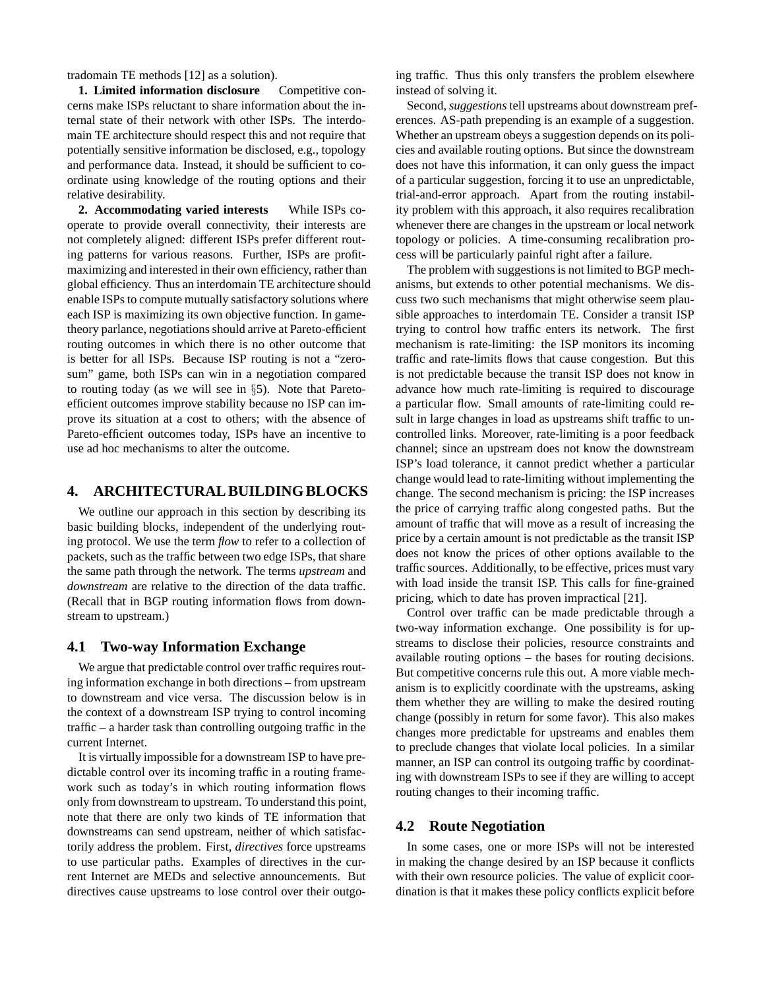tradomain TE methods [12] as a solution).

**1. Limited information disclosure** Competitive concerns make ISPs reluctant to share information about the internal state of their network with other ISPs. The interdomain TE architecture should respect this and not require that potentially sensitive information be disclosed, e.g., topology and performance data. Instead, it should be sufficient to coordinate using knowledge of the routing options and their relative desirability.

**2. Accommodating varied interests** While ISPs cooperate to provide overall connectivity, their interests are not completely aligned: different ISPs prefer different routing patterns for various reasons. Further, ISPs are profitmaximizing and interested in their own efficiency, rather than global efficiency. Thus an interdomain TE architecture should enable ISPs to compute mutually satisfactory solutions where each ISP is maximizing its own objective function. In gametheory parlance, negotiations should arrive at Pareto-efficient routing outcomes in which there is no other outcome that is better for all ISPs. Because ISP routing is not a "zerosum" game, both ISPs can win in a negotiation compared to routing today (as we will see in §5). Note that Paretoefficient outcomes improve stability because no ISP can improve its situation at a cost to others; with the absence of Pareto-efficient outcomes today, ISPs have an incentive to use ad hoc mechanisms to alter the outcome.

#### **4. ARCHITECTURAL BUILDING BLOCKS**

We outline our approach in this section by describing its basic building blocks, independent of the underlying routing protocol. We use the term *flow* to refer to a collection of packets, such as the traffic between two edge ISPs, that share the same path through the network. The terms *upstream* and *downstream* are relative to the direction of the data traffic. (Recall that in BGP routing information flows from downstream to upstream.)

#### **4.1 Two-way Information Exchange**

We argue that predictable control over traffic requires routing information exchange in both directions – from upstream to downstream and vice versa. The discussion below is in the context of a downstream ISP trying to control incoming traffic – a harder task than controlling outgoing traffic in the current Internet.

It is virtually impossible for a downstream ISP to have predictable control over its incoming traffic in a routing framework such as today's in which routing information flows only from downstream to upstream. To understand this point, note that there are only two kinds of TE information that downstreams can send upstream, neither of which satisfactorily address the problem. First, *directives* force upstreams to use particular paths. Examples of directives in the current Internet are MEDs and selective announcements. But directives cause upstreams to lose control over their outgoing traffic. Thus this only transfers the problem elsewhere instead of solving it.

Second, *suggestions*tell upstreams about downstream preferences. AS-path prepending is an example of a suggestion. Whether an upstream obeys a suggestion depends on its policies and available routing options. But since the downstream does not have this information, it can only guess the impact of a particular suggestion, forcing it to use an unpredictable, trial-and-error approach. Apart from the routing instability problem with this approach, it also requires recalibration whenever there are changes in the upstream or local network topology or policies. A time-consuming recalibration process will be particularly painful right after a failure.

The problem with suggestions is not limited to BGP mechanisms, but extends to other potential mechanisms. We discuss two such mechanisms that might otherwise seem plausible approaches to interdomain TE. Consider a transit ISP trying to control how traffic enters its network. The first mechanism is rate-limiting: the ISP monitors its incoming traffic and rate-limits flows that cause congestion. But this is not predictable because the transit ISP does not know in advance how much rate-limiting is required to discourage a particular flow. Small amounts of rate-limiting could result in large changes in load as upstreams shift traffic to uncontrolled links. Moreover, rate-limiting is a poor feedback channel; since an upstream does not know the downstream ISP's load tolerance, it cannot predict whether a particular change would lead to rate-limiting without implementing the change. The second mechanism is pricing: the ISP increases the price of carrying traffic along congested paths. But the amount of traffic that will move as a result of increasing the price by a certain amount is not predictable as the transit ISP does not know the prices of other options available to the traffic sources. Additionally, to be effective, prices must vary with load inside the transit ISP. This calls for fine-grained pricing, which to date has proven impractical [21].

Control over traffic can be made predictable through a two-way information exchange. One possibility is for upstreams to disclose their policies, resource constraints and available routing options – the bases for routing decisions. But competitive concerns rule this out. A more viable mechanism is to explicitly coordinate with the upstreams, asking them whether they are willing to make the desired routing change (possibly in return for some favor). This also makes changes more predictable for upstreams and enables them to preclude changes that violate local policies. In a similar manner, an ISP can control its outgoing traffic by coordinating with downstream ISPs to see if they are willing to accept routing changes to their incoming traffic.

#### **4.2 Route Negotiation**

In some cases, one or more ISPs will not be interested in making the change desired by an ISP because it conflicts with their own resource policies. The value of explicit coordination is that it makes these policy conflicts explicit before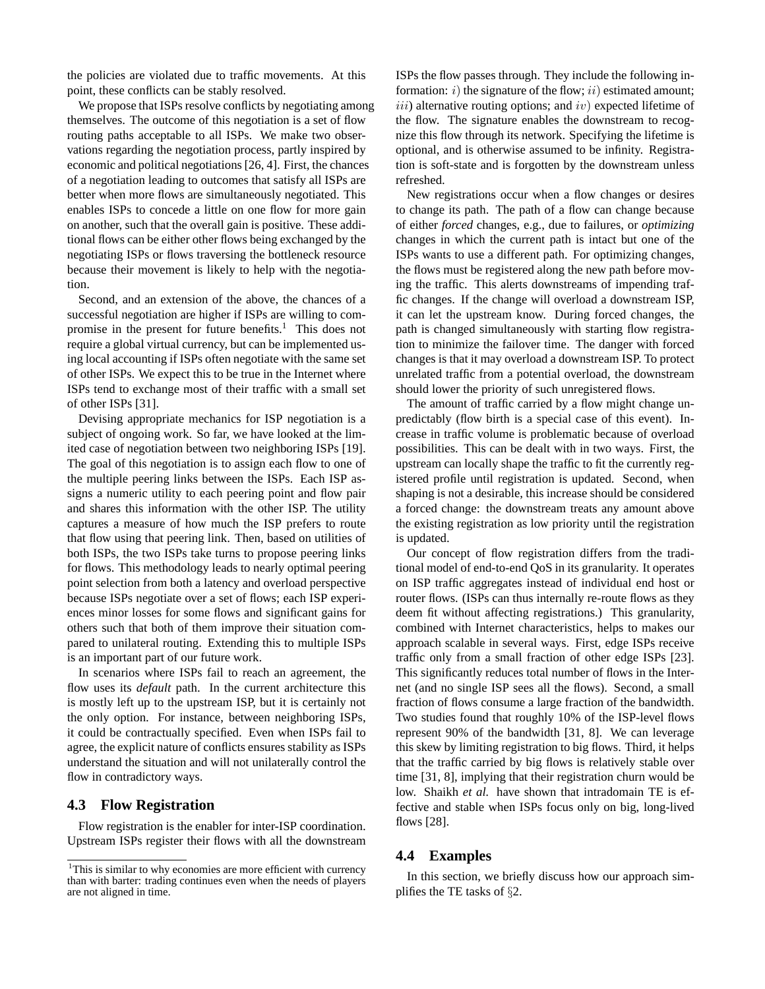the policies are violated due to traffic movements. At this point, these conflicts can be stably resolved.

We propose that ISPs resolve conflicts by negotiating among themselves. The outcome of this negotiation is a set of flow routing paths acceptable to all ISPs. We make two observations regarding the negotiation process, partly inspired by economic and political negotiations [26, 4]. First, the chances of a negotiation leading to outcomes that satisfy all ISPs are better when more flows are simultaneously negotiated. This enables ISPs to concede a little on one flow for more gain on another, such that the overall gain is positive. These additional flows can be either other flows being exchanged by the negotiating ISPs or flows traversing the bottleneck resource because their movement is likely to help with the negotiation.

Second, and an extension of the above, the chances of a successful negotiation are higher if ISPs are willing to compromise in the present for future benefits. $<sup>1</sup>$  This does not</sup> require a global virtual currency, but can be implemented using local accounting if ISPs often negotiate with the same set of other ISPs. We expect this to be true in the Internet where ISPs tend to exchange most of their traffic with a small set of other ISPs [31].

Devising appropriate mechanics for ISP negotiation is a subject of ongoing work. So far, we have looked at the limited case of negotiation between two neighboring ISPs [19]. The goal of this negotiation is to assign each flow to one of the multiple peering links between the ISPs. Each ISP assigns a numeric utility to each peering point and flow pair and shares this information with the other ISP. The utility captures a measure of how much the ISP prefers to route that flow using that peering link. Then, based on utilities of both ISPs, the two ISPs take turns to propose peering links for flows. This methodology leads to nearly optimal peering point selection from both a latency and overload perspective because ISPs negotiate over a set of flows; each ISP experiences minor losses for some flows and significant gains for others such that both of them improve their situation compared to unilateral routing. Extending this to multiple ISPs is an important part of our future work.

In scenarios where ISPs fail to reach an agreement, the flow uses its *default* path. In the current architecture this is mostly left up to the upstream ISP, but it is certainly not the only option. For instance, between neighboring ISPs, it could be contractually specified. Even when ISPs fail to agree, the explicit nature of conflicts ensures stability as ISPs understand the situation and will not unilaterally control the flow in contradictory ways.

### **4.3 Flow Registration**

Flow registration is the enabler for inter-ISP coordination. Upstream ISPs register their flows with all the downstream

ISPs the flow passes through. They include the following information:  $i)$  the signature of the flow;  $ii)$  estimated amount;  $iii)$  alternative routing options; and  $iv)$  expected lifetime of the flow. The signature enables the downstream to recognize this flow through its network. Specifying the lifetime is optional, and is otherwise assumed to be infinity. Registration is soft-state and is forgotten by the downstream unless refreshed.

New registrations occur when a flow changes or desires to change its path. The path of a flow can change because of either *forced* changes, e.g., due to failures, or *optimizing* changes in which the current path is intact but one of the ISPs wants to use a different path. For optimizing changes, the flows must be registered along the new path before moving the traffic. This alerts downstreams of impending traffic changes. If the change will overload a downstream ISP, it can let the upstream know. During forced changes, the path is changed simultaneously with starting flow registration to minimize the failover time. The danger with forced changes is that it may overload a downstream ISP. To protect unrelated traffic from a potential overload, the downstream should lower the priority of such unregistered flows.

The amount of traffic carried by a flow might change unpredictably (flow birth is a special case of this event). Increase in traffic volume is problematic because of overload possibilities. This can be dealt with in two ways. First, the upstream can locally shape the traffic to fit the currently registered profile until registration is updated. Second, when shaping is not a desirable, this increase should be considered a forced change: the downstream treats any amount above the existing registration as low priority until the registration is updated.

Our concept of flow registration differs from the traditional model of end-to-end QoS in its granularity. It operates on ISP traffic aggregates instead of individual end host or router flows. (ISPs can thus internally re-route flows as they deem fit without affecting registrations.) This granularity, combined with Internet characteristics, helps to makes our approach scalable in several ways. First, edge ISPs receive traffic only from a small fraction of other edge ISPs [23]. This significantly reduces total number of flows in the Internet (and no single ISP sees all the flows). Second, a small fraction of flows consume a large fraction of the bandwidth. Two studies found that roughly 10% of the ISP-level flows represent 90% of the bandwidth [31, 8]. We can leverage this skew by limiting registration to big flows. Third, it helps that the traffic carried by big flows is relatively stable over time [31, 8], implying that their registration churn would be low. Shaikh *et al.* have shown that intradomain TE is effective and stable when ISPs focus only on big, long-lived flows [28].

#### **4.4 Examples**

In this section, we briefly discuss how our approach simplifies the TE tasks of §2.

<sup>&</sup>lt;sup>1</sup>This is similar to why economies are more efficient with currency than with barter: trading continues even when the needs of players are not aligned in time.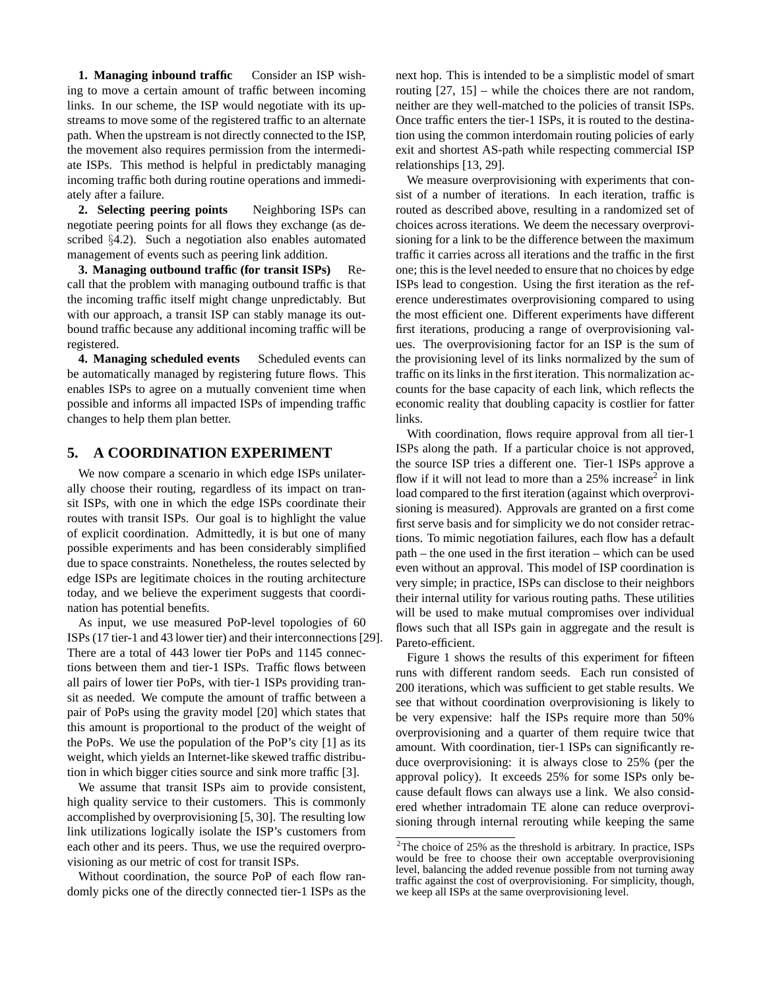**1. Managing inbound traffic** Consider an ISP wishing to move a certain amount of traffic between incoming links. In our scheme, the ISP would negotiate with its upstreams to move some of the registered traffic to an alternate path. When the upstream is not directly connected to the ISP, the movement also requires permission from the intermediate ISPs. This method is helpful in predictably managing incoming traffic both during routine operations and immediately after a failure.

**2. Selecting peering points** Neighboring ISPs can negotiate peering points for all flows they exchange (as described §4.2). Such a negotiation also enables automated management of events such as peering link addition.

**3. Managing outbound traffic (for transit ISPs)** Recall that the problem with managing outbound traffic is that the incoming traffic itself might change unpredictably. But with our approach, a transit ISP can stably manage its outbound traffic because any additional incoming traffic will be registered.

**4. Managing scheduled events** Scheduled events can be automatically managed by registering future flows. This enables ISPs to agree on a mutually convenient time when possible and informs all impacted ISPs of impending traffic changes to help them plan better.

# **5. A COORDINATION EXPERIMENT**

We now compare a scenario in which edge ISPs unilaterally choose their routing, regardless of its impact on transit ISPs, with one in which the edge ISPs coordinate their routes with transit ISPs. Our goal is to highlight the value of explicit coordination. Admittedly, it is but one of many possible experiments and has been considerably simplified due to space constraints. Nonetheless, the routes selected by edge ISPs are legitimate choices in the routing architecture today, and we believe the experiment suggests that coordination has potential benefits.

As input, we use measured PoP-level topologies of 60 ISPs (17 tier-1 and 43 lower tier) and their interconnections [29]. There are a total of 443 lower tier PoPs and 1145 connections between them and tier-1 ISPs. Traffic flows between all pairs of lower tier PoPs, with tier-1 ISPs providing transit as needed. We compute the amount of traffic between a pair of PoPs using the gravity model [20] which states that this amount is proportional to the product of the weight of the PoPs. We use the population of the PoP's city [1] as its weight, which yields an Internet-like skewed traffic distribution in which bigger cities source and sink more traffic [3].

We assume that transit ISPs aim to provide consistent, high quality service to their customers. This is commonly accomplished by overprovisioning [5, 30]. The resulting low link utilizations logically isolate the ISP's customers from each other and its peers. Thus, we use the required overprovisioning as our metric of cost for transit ISPs.

Without coordination, the source PoP of each flow randomly picks one of the directly connected tier-1 ISPs as the next hop. This is intended to be a simplistic model of smart routing [27, 15] – while the choices there are not random, neither are they well-matched to the policies of transit ISPs. Once traffic enters the tier-1 ISPs, it is routed to the destination using the common interdomain routing policies of early exit and shortest AS-path while respecting commercial ISP relationships [13, 29].

We measure overprovisioning with experiments that consist of a number of iterations. In each iteration, traffic is routed as described above, resulting in a randomized set of choices across iterations. We deem the necessary overprovisioning for a link to be the difference between the maximum traffic it carries across all iterations and the traffic in the first one; this is the level needed to ensure that no choices by edge ISPs lead to congestion. Using the first iteration as the reference underestimates overprovisioning compared to using the most efficient one. Different experiments have different first iterations, producing a range of overprovisioning values. The overprovisioning factor for an ISP is the sum of the provisioning level of its links normalized by the sum of traffic on its links in the first iteration. This normalization accounts for the base capacity of each link, which reflects the economic reality that doubling capacity is costlier for fatter links.

With coordination, flows require approval from all tier-1 ISPs along the path. If a particular choice is not approved, the source ISP tries a different one. Tier-1 ISPs approve a flow if it will not lead to more than a  $25\%$  increase<sup>2</sup> in link load compared to the first iteration (against which overprovisioning is measured). Approvals are granted on a first come first serve basis and for simplicity we do not consider retractions. To mimic negotiation failures, each flow has a default path – the one used in the first iteration – which can be used even without an approval. This model of ISP coordination is very simple; in practice, ISPs can disclose to their neighbors their internal utility for various routing paths. These utilities will be used to make mutual compromises over individual flows such that all ISPs gain in aggregate and the result is Pareto-efficient.

Figure 1 shows the results of this experiment for fifteen runs with different random seeds. Each run consisted of 200 iterations, which was sufficient to get stable results. We see that without coordination overprovisioning is likely to be very expensive: half the ISPs require more than 50% overprovisioning and a quarter of them require twice that amount. With coordination, tier-1 ISPs can significantly reduce overprovisioning: it is always close to 25% (per the approval policy). It exceeds 25% for some ISPs only because default flows can always use a link. We also considered whether intradomain TE alone can reduce overprovisioning through internal rerouting while keeping the same

<sup>&</sup>lt;sup>2</sup>The choice of 25% as the threshold is arbitrary. In practice, ISPs would be free to choose their own acceptable overprovisioning level, balancing the added revenue possible from not turning away traffic against the cost of overprovisioning. For simplicity, though, we keep all ISPs at the same overprovisioning level.